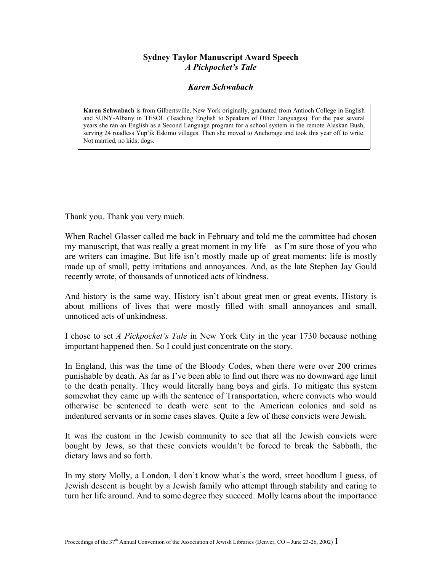## **Sydney Taylor Manuscript Award Speech**  *A Pickpocket's Tale*

## *Karen Schwabach*

**Karen Schwabach** is from Gilbertsville, New York originally, graduated from Antioch College in English and SUNY-Albany in TESOL (Teaching English to Speakers of Other Languages). For the past several years she ran an English as a Second Language program for a school system in the remote Alaskan Bush, serving 24 roadless Yup'ik Eskimo villages. Then she moved to Anchorage and took this year off to write. Not married, no kids; dogs.

Thank you. Thank you very much.

When Rachel Glasser called me back in February and told me the committee had chosen my manuscript, that was really a great moment in my life—as I'm sure those of you who are writers can imagine. But life isn't mostly made up of great moments; life is mostly made up of small, petty irritations and annoyances. And, as the late Stephen Jay Gould recently wrote, of thousands of unnoticed acts of kindness.

And history is the same way. History isn't about great men or great events. History is about millions of lives that were mostly filled with small annoyances and small, unnoticed acts of unkindness.

I chose to set *A Pickpocket's Tale* in New York City in the year 1730 because nothing important happened then. So I could just concentrate on the story.

In England, this was the time of the Bloody Codes, when there were over 200 crimes punishable by death. As far as I've been able to find out there was no downward age limit to the death penalty. They would literally hang boys and girls. To mitigate this system somewhat they came up with the sentence of Transportation, where convicts who would otherwise be sentenced to death were sent to the American colonies and sold as indentured servants or in some cases slaves. Quite a few of these convicts were Jewish.

It was the custom in the Jewish community to see that all the Jewish convicts were bought by Jews, so that these convicts wouldn't be forced to break the Sabbath, the dietary laws and so forth.

In my story Molly, a London, I don't know what's the word, street hoodlum I guess, of Jewish descent is bought by a Jewish family who attempt through stability and caring to turn her life around. And to some degree they succeed. Molly learns about the importance